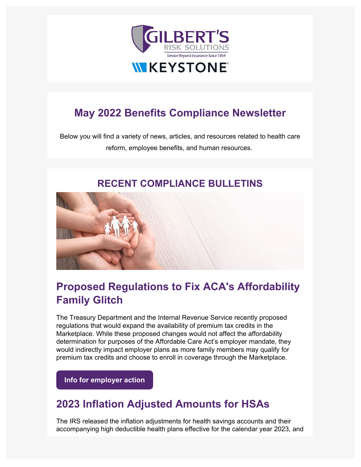

# **May 2022 Benefits Compliance Newsletter**

Below you will find a variety of news, articles, and resources related to health care reform, employee benefits, and human resources.

## **RECENT COMPLIANCE BULLETINS**



# **Proposed Regulations to Fix ACA's Affordability Family Glitch**

The Treasury Department and the Internal Revenue Service recently proposed regulations that would expand the availability of premium tax credits in the Marketplace. While these proposed changes would not affect the affordability determination for purposes of the Affordable Care Act's employer mandate, they would indirectly impact employer plans as more family members may qualify for premium tax credits and choose to enroll in coverage through the Marketplace.

**[Info for employer action](https://emersonreid.dmplocal.com/main/index.php?wd=ArticleGateway&article_id=24248&smart_skin_id=540&viewers_email=jfirst%40gilbertsrisksolutions.com%20%7Bowner%3Djginnis%40gilbertsrisksolutions.com%7D&id=49831&ids=59e1f4c497fa90737105af78b4a25af18409ac5f&utm_content=ElILEEZEIgZZCQBUSxILRgsRXkMNDUURC15XFVZXDQ8VSw0WXgAQDFMBEVoMC0ZwBQhcBwdDTRUKXREJRl8OFEQMDV9KSBtbDx8%3D&utm_campaign=Benefits_Newsletter&utm_source=hs_email&utm_medium=email&_hsenc=p2ANqtz--9YVoAfSKcbHxqFg_32fBg4kDcCB2NG3VRrtMrhN25-P0e7S_3U7gqOklLn3RbbFw2UDXt)**

# **2023 Inflation Adjusted Amounts for HSAs**

The IRS released the inflation adjustments for health savings accounts and their accompanying high deductible health plans effective for the calendar year 2023, and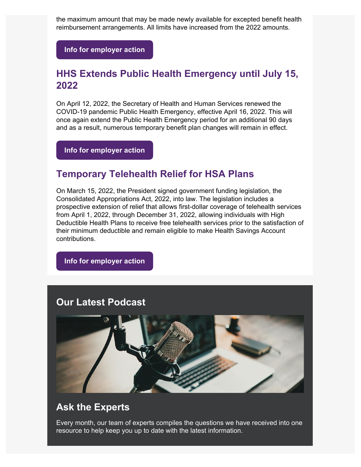the maximum amount that may be made newly available for excepted benefit health reimbursement arrangements. All limits have increased from the 2022 amounts.

**[Info for employer action](https://emersonreid.dmplocal.com/main/index.php?wd=ArticleGateway&article_id=24249&smart_skin_id=540&viewers_email=jfirst%40gilbertsrisksolutions.com%20%7Bowner%3Djginnis%40gilbertsrisksolutions.com%7D&id=49831&ids=59e1f4c497fa90737105af78b4a25af18409ac5f&utm_content=ElILEEZEIgZZCQBUSxILRgsRXkMNDUURC15XFVZXDQ8VSw0WXgAQDFMBEVoMC0ZwBQhcBwdDTRUKXREJRl8OFEQMDV9KSBtbDx8%3D&utm_campaign=Benefits_Newsletter&utm_source=hs_email&utm_medium=email&_hsenc=p2ANqtz--9YVoAfSKcbHxqFg_32fBg4kDcCB2NG3VRrtMrhN25-P0e7S_3U7gqOklLn3RbbFw2UDXt)**

### **HHS Extends Public Health Emergency until July 15, 2022**

On April 12, 2022, the Secretary of Health and Human Services renewed the COVID-19 pandemic Public Health Emergency, effective April 16, 2022. This will once again extend the Public Health Emergency period for an additional 90 days and as a result, numerous temporary benefit plan changes will remain in effect.

**[Info for employer action](https://emersonreid.dmplocal.com/main/index.php?wd=ArticleGateway&article_id=24250&smart_skin_id=546&viewers_email=jfirst%40gilbertsrisksolutions.com%20%7Bowner%3Djginnis%40gilbertsrisksolutions.com%7D&id=49831&ids=59e1f4c497fa90737105af78b4a25af18409ac5f&utm_content=ElILEEZEIgZZCQBUSxILRgsRXkMNDUURC15XFVZXDQ8VSw0WXgAQDFMBEVoMC0ZwBQhcBwdDTRUKXREJRl8OFEQMDV9KSBtbDx8%3D&utm_campaign=Benefits_Newsletter&utm_source=hs_email&utm_medium=email&_hsenc=p2ANqtz--9YVoAfSKcbHxqFg_32fBg4kDcCB2NG3VRrtMrhN25-P0e7S_3U7gqOklLn3RbbFw2UDXt)**

### **Temporary Telehealth Relief for HSA Plans**

On March 15, 2022, the President signed government funding legislation, the Consolidated Appropriations Act, 2022, into law. The legislation includes a prospective extension of relief that allows first-dollar coverage of telehealth services from April 1, 2022, through December 31, 2022, allowing individuals with High Deductible Health Plans to receive free telehealth services prior to the satisfaction of their minimum deductible and remain eligible to make Health Savings Account contributions.

**[Info for employer action](https://emersonreid.dmplocal.com/main/index.php?wd=ArticleGateway&article_id=24113&smart_skin_id=546&viewers_email=jfirst%40gilbertsrisksolutions.com%20%7Bowner%3Djginnis%40gilbertsrisksolutions.com%7D&id=49831&ids=59e1f4c497fa90737105af78b4a25af18409ac5f&utm_content=ElILEEZEIgZZCQBUSxILRgsRXkMNDUURC15XFVZXDQ8VSw0WXgAQDFMBEVoMC0ZwBQhcBwdDTRUKXREJRl8OFEQMDV9KSBtbDx8%3D&utm_campaign=Benefits_Newsletter&utm_source=hs_email&utm_medium=email&_hsenc=p2ANqtz--9YVoAfSKcbHxqFg_32fBg4kDcCB2NG3VRrtMrhN25-P0e7S_3U7gqOklLn3RbbFw2UDXt)**

# **Our Latest Podcast**

### **[Ask the Experts](https://nam11.safelinks.protection.outlook.com/?url=https%3A%2F%2Fwww3.dmpemail2.com%2Femersonreid%2Fmain%2Findex.php%3Faction%3Dt%26tag%3DAsk%2Bthe%2BExperts%26id%3D49831%26contact_uuid%3D6f65d3fc-8eab-4e6d-b7bd-b5eee4ef74f1%26dest%3Dhttps%253A%252F%252Femersonreid.dmplocal.com%252Fmain%252Findex.php%253Fwd%253DArticleGateway%2526article_id%253D24251%2526smart_skin_id%253D545%2526viewers_email%253Djfirst%252540gilbertsrisksolutions.com%252B%25257Bowner%25253Djginnis%252540gilbertsrisksolutions.com%25257D%2526id%253D49831%2526ids%253D59e1f4c497fa90737105af78b4a25af18409ac5f%2526utm_source%253Ddmc%2526utm_medium%253Demail%2526utm_content%253DElILEEZEIgZZCQBUSxILRgsRXkMNDUURC15XFVZXDQ8VSw0WXgAQDFMBEVoMC0ZwBQhcBwdDTRUKXREJRl8OFEQMDV9KSBtbDx8%25253D%2526utm_campaign%253D49831%253ABroker%252BEmail%252BResponsive&data=05%7C01%7Cjfirst%40gilbertsrisksolutions.com%7C8077f0763e5045897dfe08da374d45f2%7C032c17a2a7964ae69fe75f7fff8cb31c%7C1%7C0%7C637883102283631844%7CUnknown%7CTWFpbGZsb3d8eyJWIjoiMC4wLjAwMDAiLCJQIjoiV2luMzIiLCJBTiI6Ik1haWwiLCJXVCI6Mn0%3D%7C3000%7C%7C%7C&sdata=rpwejacbHdxIEn6YP5sRhNT3145lYIhFh65xhxQlItg%3D&reserved=0&utm_campaign=Benefits_Newsletter&utm_source=hs_email&utm_medium=email&_hsenc=p2ANqtz--9YVoAfSKcbHxqFg_32fBg4kDcCB2NG3VRrtMrhN25-P0e7S_3U7gqOklLn3RbbFw2UDXt)**

Every month, our team of experts compiles the questions we have received into one resource to help keep you up to date with the latest information.